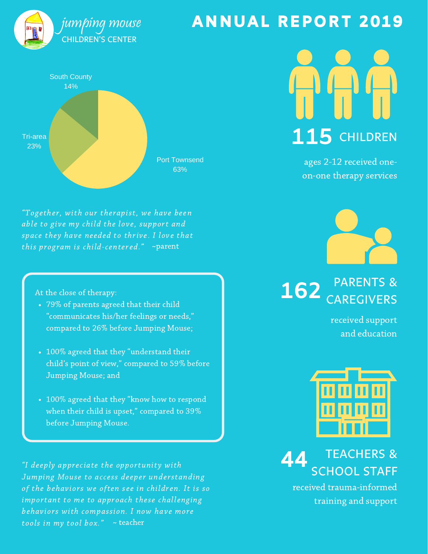

# South County 14%

Port Townsend 63% Tri-area 23%

"Together, with our therapist, we have been able to give my child the love, support and space they have needed to thrive. I love that this program is child-centered." ~parent

At the close of therapy:

- 79% of parents agreed that their child "communicates his/her feelings or needs," compared to 26% before Jumping Mouse;
- 100% agreed that they "understand their child's point of view," compared to 59% before Jumping Mouse; and
- 100% agreed that they "know how to respond when their child is upset," compared to 39% before Jumping Mouse.

"I deeply appreciate the opportunity with Jumping Mouse to access deeper understanding of the behaviors we often see in children. It is so important to me to approach these challenging behaviors with compassion. I now have more tools in my tool box." ~ teacher

## ANNUAL REPORT 2019

**115** CHILDREN

ages 2-12 received oneon-one therapy services



162 CAREGIVERS

received support and education



TEACHERS & SCHOOL STAFF **44**

received trauma-informed training and support